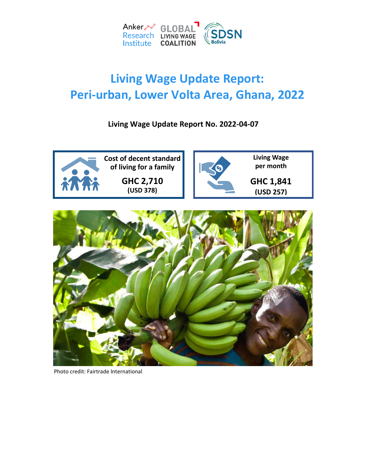

# **Living Wage Update Report: Peri-urban, Lower Volta Area, Ghana, 2022**

**Living Wage Update Report No. 2022-04-07**



Photo credit: Fairtrade International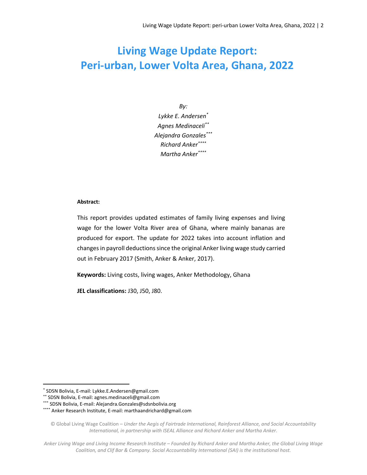# **Living Wage Update Report: Peri-urban, Lower Volta Area, Ghana, 2022**

*By: Lykke E. Andersen\* Agnes Medinaceli\*\* Alejandra Gonzales\*\*\* Richard Anker\*\*\*\* Martha Anker\*\*\*\**

#### **Abstract:**

This report provides updated estimates of family living expenses and living wage for the lower Volta River area of Ghana, where mainly bananas are produced for export. The update for 2022 takes into account inflation and changes in payroll deductions since the original Anker living wage study carried out in February 2017 (Smith, Anker & Anker, 2017).

**Keywords:** Living costs, living wages, Anker Methodology, Ghana

**JEL classifications:** J30, J50, J80.

 $\overline{\phantom{a}}$ 

<sup>\*</sup> SDSN Bolivia, E-mail: Lykke.E.Andersen@gmail.com

<sup>\*\*</sup> SDSN Bolivia, E-mail: agnes.medinaceli@gmail.com

<sup>\*\*\*</sup> SDSN Bolivia, E-mail: Alejandra.Gonzales@sdsnbolivia.org

<sup>\*\*\*\*</sup> Anker Research Institute, E-mail[: marthaandrichard@gmail.com](mailto:marthaandrichard@gmail.com)

<sup>©</sup> Global Living Wage Coalition – *Under the Aegis of Fairtrade International, Rainforest Alliance, and Social Accountability International, in partnership with ISEAL Alliance and Richard Anker and Martha Anker.*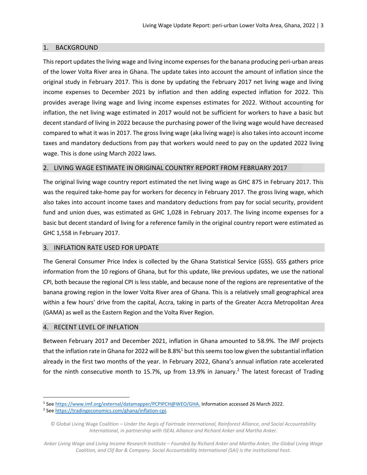#### 1. BACKGROUND

This report updates the living wage and living income expenses for the banana producing peri-urban areas of the lower Volta River area in Ghana. The update takes into account the amount of inflation since the original study in February 2017. This is done by updating the February 2017 net living wage and living income expenses to December 2021 by inflation and then adding expected inflation for 2022. This provides average living wage and living income expenses estimates for 2022. Without accounting for inflation, the net living wage estimated in 2017 would not be sufficient for workers to have a basic but decent standard of living in 2022 because the purchasing power of the living wage would have decreased compared to what it was in 2017. The gross living wage (aka living wage) is also takes into account income taxes and mandatory deductions from pay that workers would need to pay on the updated 2022 living wage. This is done using March 2022 laws.

#### 2. LIVING WAGE ESTIMATE IN ORIGINAL COUNTRY REPORT FROM FEBRUARY 2017

The original living wage country report estimated the net living wage as GHC 875 in February 2017. This was the required take-home pay for workers for decency in February 2017. The gross living wage, which also takes into account income taxes and mandatory deductions from pay for social security, provident fund and union dues, was estimated as GHC 1,028 in February 2017. The living income expenses for a basic but decent standard of living for a reference family in the original country report were estimated as GHC 1,558 in February 2017.

#### 3. INFLATION RATE USED FOR UPDATE

The General Consumer Price Index is collected by the Ghana Statistical Service (GSS). GSS gathers price information from the 10 regions of Ghana, but for this update, like previous updates, we use the national CPI, both because the regional CPI is less stable, and because none of the regions are representative of the banana growing region in the lower Volta River area of Ghana. This is a relatively small geographical area within a few hours' drive from the capital, Accra, taking in parts of the Greater Accra Metropolitan Area (GAMA) as well as the Eastern Region and the Volta River Region.

#### 4. RECENT LEVEL OF INFLATION

 $\overline{a}$ 

Between February 2017 and December 2021, inflation in Ghana amounted to 58.9%. The IMF projects that the inflation rate in Ghana for 2022 will be 8.8% $<sup>1</sup>$  but this seems too low given the substantial inflation</sup> already in the first two months of the year. In February 2022, Ghana's annual inflation rate accelerated for the ninth consecutive month to 15.7%, up from 13.9% in January.<sup>2</sup> The latest forecast of Trading

<sup>1</sup> Se[e https://www.imf.org/external/datamapper/PCPIPCH@WEO/GHA.](https://www.imf.org/external/datamapper/PCPIPCH@WEO/GHA) Information accessed 26 March 2022.

<sup>2</sup> Se[e https://tradingeconomics.com/ghana/inflation-cpi.](https://tradingeconomics.com/ghana/inflation-cpi)

<sup>©</sup> Global Living Wage Coalition – *Under the Aegis of Fairtrade International, Rainforest Alliance, and Social Accountability International, in partnership with ISEAL Alliance and Richard Anker and Martha Anker.*

*Anker Living Wage and Living Income Research Institute – Founded by Richard Anker and Martha Anker, the Global Living Wage Coalition, and Clif Bar & Company. Social Accountability International (SAI) is the institutional host.*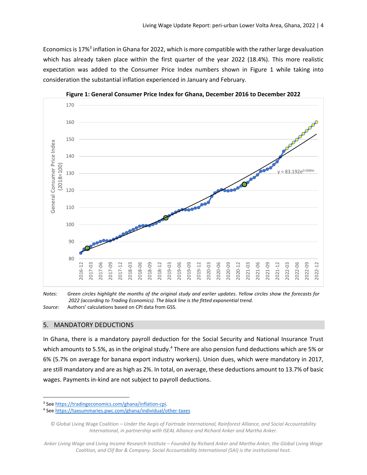Economics is 17%<sup>3</sup> inflation in Ghana for 2022, which is more compatible with the rather large devaluation which has already taken place within the first quarter of the year 2022 (18.4%). This more realistic expectation was added to the Consumer Price Index numbers shown in Figure 1 while taking into consideration the substantial inflation experienced in January and February.







#### 5. MANDATORY DEDUCTIONS

 $\overline{a}$ 

In Ghana, there is a mandatory payroll deduction for the Social Security and National Insurance Trust which amounts to 5.5%, as in the original study.<sup>4</sup> There are also pension fund deductions which are 5% or 6% (5.7% on average for banana export industry workers). Union dues, which were mandatory in 2017, are still mandatory and are as high as 2%. In total, on average, these deductions amount to 13.7% of basic wages. Payments in-kind are not subject to payroll deductions.

*Anker Living Wage and Living Income Research Institute – Founded by Richard Anker and Martha Anker, the Global Living Wage Coalition, and Clif Bar & Company. Social Accountability International (SAI) is the institutional host.*

<sup>3</sup> Se[e https://tradingeconomics.com/ghana/inflation-cpi.](https://tradingeconomics.com/ghana/inflation-cpi)

<sup>4</sup> See https://taxsummaries.pwc.com/ghana/individual/other-taxes

<sup>©</sup> Global Living Wage Coalition – *Under the Aegis of Fairtrade International, Rainforest Alliance, and Social Accountability International, in partnership with ISEAL Alliance and Richard Anker and Martha Anker.*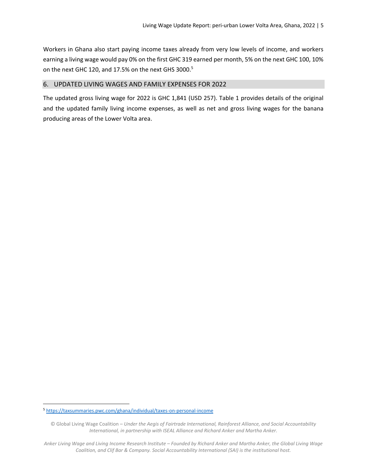Workers in Ghana also start paying income taxes already from very low levels of income, and workers earning a living wage would pay 0% on the first GHC 319 earned per month, 5% on the next GHC 100, 10% on the next GHC 120, and 17.5% on the next GHS 3000.<sup>5</sup>

#### 6. UPDATED LIVING WAGES AND FAMILY EXPENSES FOR 2022

The updated gross living wage for 2022 is GHC 1,841 (USD 257). Table 1 provides details of the original and the updated family living income expenses, as well as net and gross living wages for the banana producing areas of the Lower Volta area.

 $\overline{\phantom{a}}$ 

<sup>5</sup> <https://taxsummaries.pwc.com/ghana/individual/taxes-on-personal-income>

<sup>©</sup> Global Living Wage Coalition – *Under the Aegis of Fairtrade International, Rainforest Alliance, and Social Accountability International, in partnership with ISEAL Alliance and Richard Anker and Martha Anker.*

*Anker Living Wage and Living Income Research Institute – Founded by Richard Anker and Martha Anker, the Global Living Wage Coalition, and Clif Bar & Company. Social Accountability International (SAI) is the institutional host.*